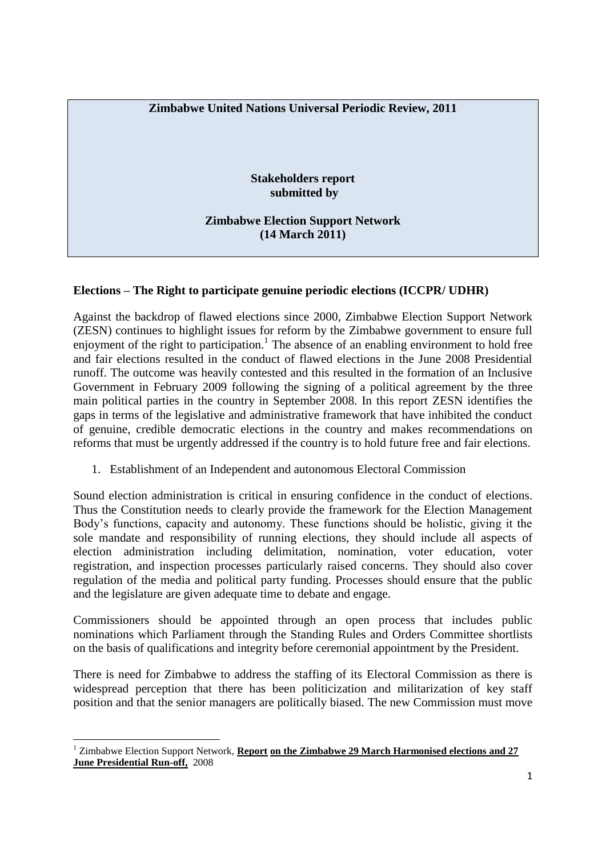## **Zimbabwe United Nations Universal Periodic Review, 2011**

**Stakeholders report submitted by**

**Zimbabwe Election Support Network (14 March 2011)**

## **Elections – The Right to participate genuine periodic elections (ICCPR/ UDHR)**

Against the backdrop of flawed elections since 2000, Zimbabwe Election Support Network (ZESN) continues to highlight issues for reform by the Zimbabwe government to ensure full enjoyment of the right to participation.<sup>1</sup> The absence of an enabling environment to hold free and fair elections resulted in the conduct of flawed elections in the June 2008 Presidential runoff. The outcome was heavily contested and this resulted in the formation of an Inclusive Government in February 2009 following the signing of a political agreement by the three main political parties in the country in September 2008. In this report ZESN identifies the gaps in terms of the legislative and administrative framework that have inhibited the conduct of genuine, credible democratic elections in the country and makes recommendations on reforms that must be urgently addressed if the country is to hold future free and fair elections.

1. Establishment of an Independent and autonomous Electoral Commission

Sound election administration is critical in ensuring confidence in the conduct of elections. Thus the Constitution needs to clearly provide the framework for the Election Management Body's functions, capacity and autonomy. These functions should be holistic, giving it the sole mandate and responsibility of running elections, they should include all aspects of election administration including delimitation, nomination, voter education, voter registration, and inspection processes particularly raised concerns. They should also cover regulation of the media and political party funding. Processes should ensure that the public and the legislature are given adequate time to debate and engage.

Commissioners should be appointed through an open process that includes public nominations which Parliament through the Standing Rules and Orders Committee shortlists on the basis of qualifications and integrity before ceremonial appointment by the President.

There is need for Zimbabwe to address the staffing of its Electoral Commission as there is widespread perception that there has been politicization and militarization of key staff position and that the senior managers are politically biased. The new Commission must move

1

<sup>1</sup> Zimbabwe Election Support Network, **Report on the Zimbabwe 29 March Harmonised elections and 27 June Presidential Run-off,** 2008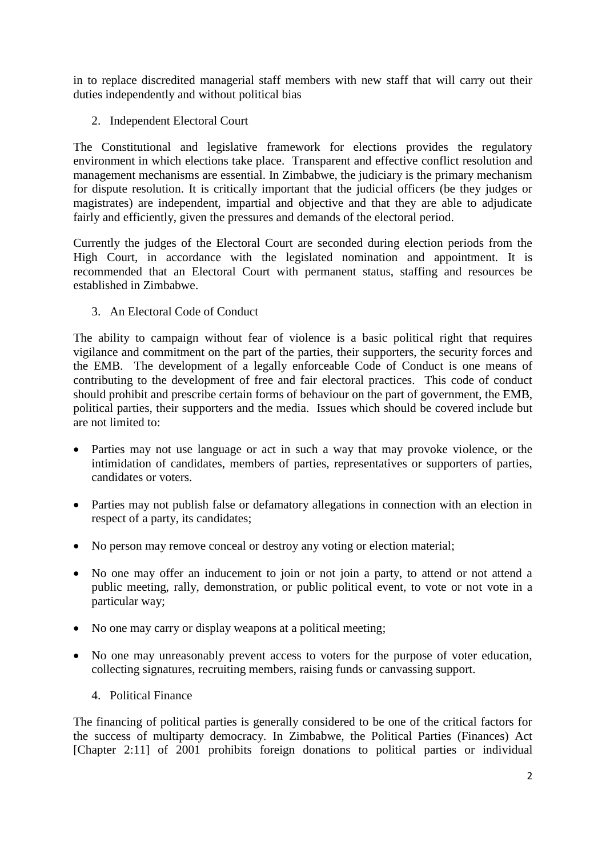in to replace discredited managerial staff members with new staff that will carry out their duties independently and without political bias

2. Independent Electoral Court

The Constitutional and legislative framework for elections provides the regulatory environment in which elections take place. Transparent and effective conflict resolution and management mechanisms are essential. In Zimbabwe, the judiciary is the primary mechanism for dispute resolution. It is critically important that the judicial officers (be they judges or magistrates) are independent, impartial and objective and that they are able to adjudicate fairly and efficiently, given the pressures and demands of the electoral period.

Currently the judges of the Electoral Court are seconded during election periods from the High Court, in accordance with the legislated nomination and appointment. It is recommended that an Electoral Court with permanent status, staffing and resources be established in Zimbabwe.

3. An Electoral Code of Conduct

The ability to campaign without fear of violence is a basic political right that requires vigilance and commitment on the part of the parties, their supporters, the security forces and the EMB. The development of a legally enforceable Code of Conduct is one means of contributing to the development of free and fair electoral practices. This code of conduct should prohibit and prescribe certain forms of behaviour on the part of government, the EMB, political parties, their supporters and the media. Issues which should be covered include but are not limited to:

- Parties may not use language or act in such a way that may provoke violence, or the intimidation of candidates, members of parties, representatives or supporters of parties, candidates or voters.
- Parties may not publish false or defamatory allegations in connection with an election in respect of a party, its candidates;
- No person may remove conceal or destroy any voting or election material;
- No one may offer an inducement to join or not join a party, to attend or not attend a public meeting, rally, demonstration, or public political event, to vote or not vote in a particular way;
- No one may carry or display weapons at a political meeting;
- No one may unreasonably prevent access to voters for the purpose of voter education, collecting signatures, recruiting members, raising funds or canvassing support.
	- 4. Political Finance

The financing of political parties is generally considered to be one of the critical factors for the success of multiparty democracy. In Zimbabwe, the Political Parties (Finances) Act [Chapter 2:11] of 2001 prohibits foreign donations to political parties or individual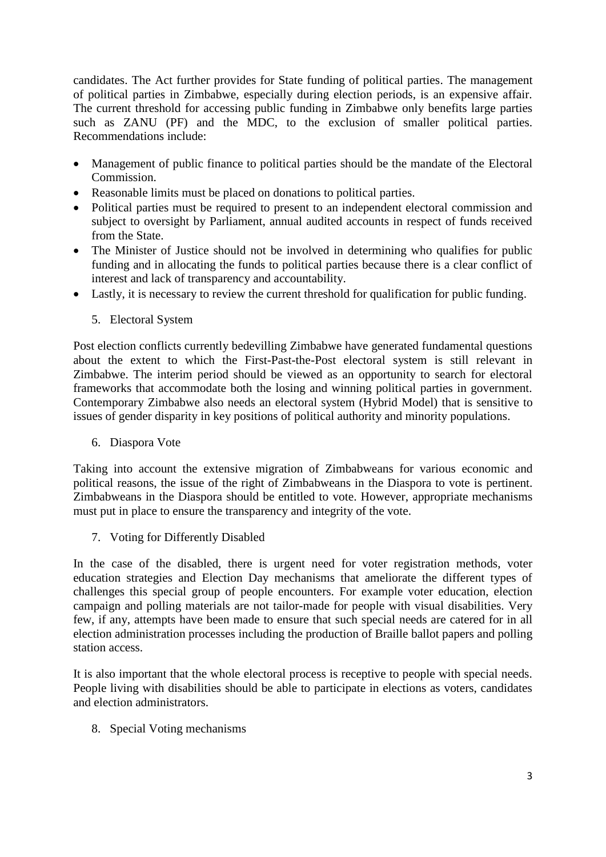candidates. The Act further provides for State funding of political parties. The management of political parties in Zimbabwe, especially during election periods, is an expensive affair. The current threshold for accessing public funding in Zimbabwe only benefits large parties such as ZANU (PF) and the MDC, to the exclusion of smaller political parties. Recommendations include:

- Management of public finance to political parties should be the mandate of the Electoral Commission.
- Reasonable limits must be placed on donations to political parties.
- Political parties must be required to present to an independent electoral commission and subject to oversight by Parliament, annual audited accounts in respect of funds received from the State.
- The Minister of Justice should not be involved in determining who qualifies for public funding and in allocating the funds to political parties because there is a clear conflict of interest and lack of transparency and accountability.
- Lastly, it is necessary to review the current threshold for qualification for public funding.
	- 5. Electoral System

Post election conflicts currently bedevilling Zimbabwe have generated fundamental questions about the extent to which the First-Past-the-Post electoral system is still relevant in Zimbabwe. The interim period should be viewed as an opportunity to search for electoral frameworks that accommodate both the losing and winning political parties in government. Contemporary Zimbabwe also needs an electoral system (Hybrid Model) that is sensitive to issues of gender disparity in key positions of political authority and minority populations.

6. Diaspora Vote

Taking into account the extensive migration of Zimbabweans for various economic and political reasons, the issue of the right of Zimbabweans in the Diaspora to vote is pertinent. Zimbabweans in the Diaspora should be entitled to vote. However, appropriate mechanisms must put in place to ensure the transparency and integrity of the vote.

7. Voting for Differently Disabled

In the case of the disabled, there is urgent need for voter registration methods, voter education strategies and Election Day mechanisms that ameliorate the different types of challenges this special group of people encounters. For example voter education, election campaign and polling materials are not tailor-made for people with visual disabilities. Very few, if any, attempts have been made to ensure that such special needs are catered for in all election administration processes including the production of Braille ballot papers and polling station access.

It is also important that the whole electoral process is receptive to people with special needs. People living with disabilities should be able to participate in elections as voters, candidates and election administrators.

8. Special Voting mechanisms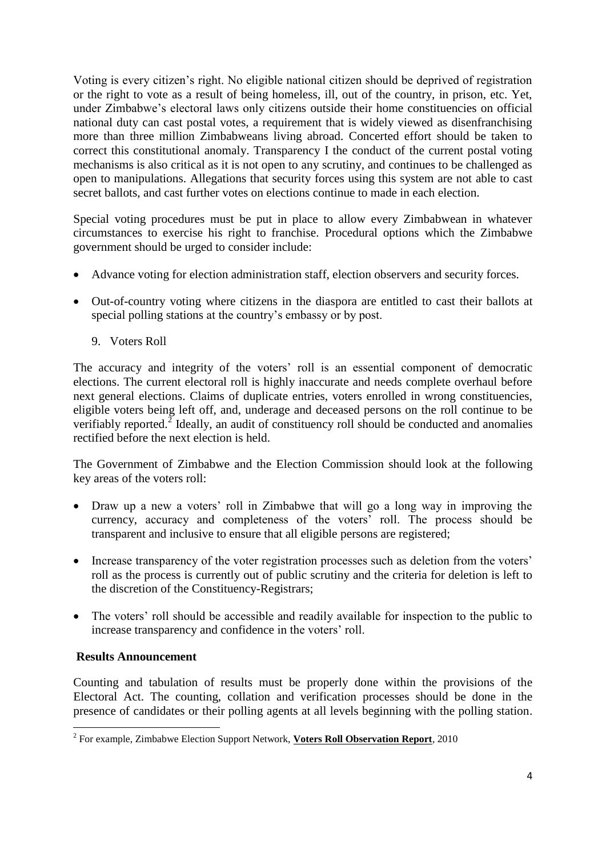Voting is every citizen's right. No eligible national citizen should be deprived of registration or the right to vote as a result of being homeless, ill, out of the country, in prison, etc. Yet, under Zimbabwe's electoral laws only citizens outside their home constituencies on official national duty can cast postal votes, a requirement that is widely viewed as disenfranchising more than three million Zimbabweans living abroad. Concerted effort should be taken to correct this constitutional anomaly. Transparency I the conduct of the current postal voting mechanisms is also critical as it is not open to any scrutiny, and continues to be challenged as open to manipulations. Allegations that security forces using this system are not able to cast secret ballots, and cast further votes on elections continue to made in each election.

Special voting procedures must be put in place to allow every Zimbabwean in whatever circumstances to exercise his right to franchise. Procedural options which the Zimbabwe government should be urged to consider include:

- Advance voting for election administration staff, election observers and security forces.
- Out-of-country voting where citizens in the diaspora are entitled to cast their ballots at special polling stations at the country's embassy or by post.
	- 9. Voters Roll

The accuracy and integrity of the voters' roll is an essential component of democratic elections. The current electoral roll is highly inaccurate and needs complete overhaul before next general elections. Claims of duplicate entries, voters enrolled in wrong constituencies, eligible voters being left off, and, underage and deceased persons on the roll continue to be verifiably reported.<sup>2</sup> Ideally, an audit of constituency roll should be conducted and anomalies rectified before the next election is held.

The Government of Zimbabwe and the Election Commission should look at the following key areas of the voters roll:

- Draw up a new a voters' roll in Zimbabwe that will go a long way in improving the currency, accuracy and completeness of the voters' roll. The process should be transparent and inclusive to ensure that all eligible persons are registered;
- Increase transparency of the voter registration processes such as deletion from the voters' roll as the process is currently out of public scrutiny and the criteria for deletion is left to the discretion of the Constituency-Registrars;
- The voters' roll should be accessible and readily available for inspection to the public to increase transparency and confidence in the voters' roll.

## **Results Announcement**

Counting and tabulation of results must be properly done within the provisions of the Electoral Act. The counting, collation and verification processes should be done in the presence of candidates or their polling agents at all levels beginning with the polling station.

 2 For example, Zimbabwe Election Support Network, **Voters Roll Observation Report**, 2010